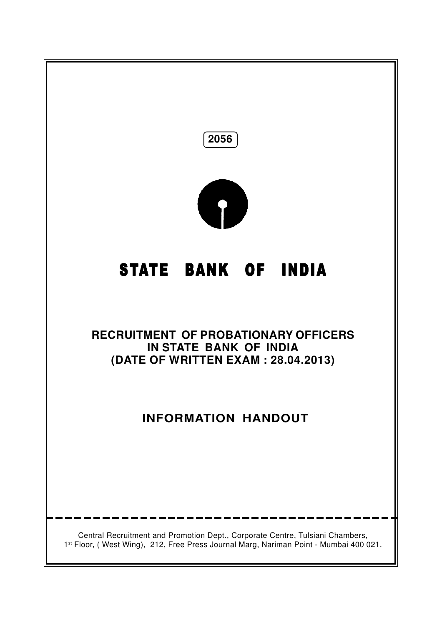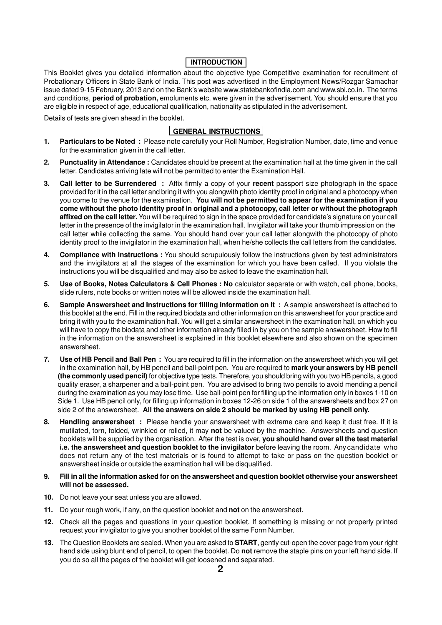# **INTRODUCTION**

This Booklet gives you detailed information about the objective type Competitive examination for recruitment of Probationary Officers in State Bank of India. This post was advertised in the Employment News/Rozgar Samachar issue dated 9-15 February, 2013 and on the Bank's website www.statebankofindia.com and www.sbi.co.in. The terms and conditions, **period of probation,** emoluments etc. were given in the advertisement. You should ensure that you are eligible in respect of age, educational qualification, nationality as stipulated in the advertisement.

Details of tests are given ahead in the booklet.

# **GENERAL INSTRUCTIONS**

- **1. Particulars to be Noted :** Please note carefully your Roll Number, Registration Number, date, time and venue for the examination given in the call letter.
- **2. Punctuality in Attendance :** Candidates should be present at the examination hall at the time given in the call letter. Candidates arriving late will not be permitted to enter the Examination Hall.
- **3. Call letter to be Surrendered :** Affix firmly a copy of your **recent** passport size photograph in the space provided for it in the call letter and bring it with you alongwith photo identity proof in original and a photocopy when you come to the venue for the examination. **You will not be permitted to appear for the examination if you come without the photo identity proof in original and a photocopy, call letter or without the photograph affixed on the call letter.** You will be required to sign in the space provided for candidate's signature on your call letter in the presence of the invigilator in the examination hall. Invigilator will take your thumb impression on the call letter while collecting the same. You should hand over your call letter alongwith the photocopy of photo identity proof to the invigilator in the examination hall, when he/she collects the call letters from the candidates.
- **4. Compliance with Instructions :** You should scrupulously follow the instructions given by test administrators and the invigilators at all the stages of the examination for which you have been called. If you violate the instructions you will be disqualified and may also be asked to leave the examination hall.
- **5. Use of Books, Notes Calculators & Cell Phones : No** calculator separate or with watch, cell phone, books, slide rulers, note books or written notes will be allowed inside the examination hall.
- **6. Sample Answersheet and Instructions for filling information on it :** A sample answersheet is attached to this booklet at the end. Fill in the required biodata and other information on this answersheet for your practice and bring it with you to the examination hall. You will get a similar answersheet in the examination hall, on which you will have to copy the biodata and other information already filled in by you on the sample answersheet. How to fill in the information on the answersheet is explained in this booklet elsewhere and also shown on the specimen answersheet.
- **7. Use of HB Pencil and Ball Pen :** You are required to fill in the information on the answersheet which you will get in the examination hall, by HB pencil and ball-point pen. You are required to **mark your answers by HB pencil (the commonly used pencil)** for objective type tests. Therefore, you should bring with you two HB pencils, a good quality eraser, a sharpener and a ball-point pen. You are advised to bring two pencils to avoid mending a pencil during the examination as you may lose time. Use ball-point pen for filling up the information only in boxes 1-10 on Side 1. Use HB pencil only, for filling up information in boxes 12-26 on side 1 of the answersheets and box 27 on side 2 of the answersheet. **All the answers on side 2 should be marked by using HB pencil only.**
- **8. Handling answersheet :** Please handle your answersheet with extreme care and keep it dust free. If it is mutilated, torn, folded, wrinkled or rolled, it may **not** be valued by the machine. Answersheets and question booklets will be supplied by the organisation. After the test is over, **you should hand over all the test material i.e. the answersheet and question booklet to the invigilator** before leaving the room. Any candidate who does not return any of the test materials or is found to attempt to take or pass on the question booklet or answersheet inside or outside the examination hall will be disqualified.
- **9. Fill in all the information asked for on the answersheet and question booklet otherwise your answersheet will not be assessed.**
- **10.** Do not leave your seat unless you are allowed.
- **11.** Do your rough work, if any, on the question booklet and **not** on the answersheet.
- **12.** Check all the pages and questions in your question booklet. If something is missing or not properly printed request your invigilator to give you another booklet of the same Form Number.
- **13.** The Question Booklets are sealed. When you are asked to **START**, gently cut-open the cover page from your right hand side using blunt end of pencil, to open the booklet. Do **not** remove the staple pins on your left hand side. If you do so all the pages of the booklet will get loosened and separated.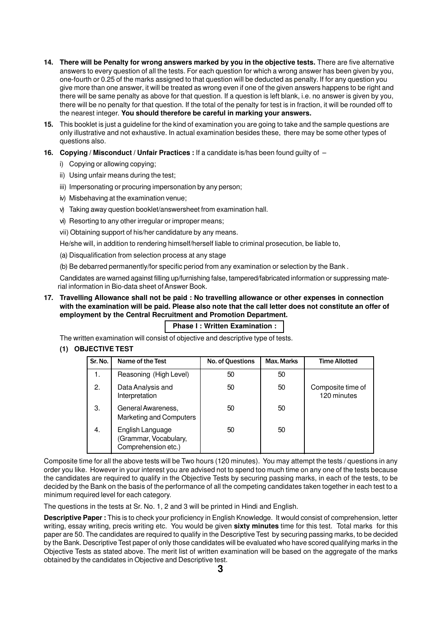- **14. There will be Penalty for wrong answers marked by you in the objective tests.** There are five alternative answers to every question of all the tests. For each question for which a wrong answer has been given by you, one-fourth or 0.25 of the marks assigned to that question will be deducted as penalty. If for any question you give more than one answer, it will be treated as wrong even if one of the given answers happens to be right and there will be same penalty as above for that question. If a question is left blank, i.e. no answer is given by you, there will be no penalty for that question. If the total of the penalty for test is in fraction, it will be rounded off to the nearest integer. **You should therefore be careful in marking your answers.**
- **15.** This booklet is just a guideline for the kind of examination you are going to take and the sample questions are only illustrative and not exhaustive. In actual examination besides these, there may be some other types of questions also.
- **16. Copying / Misconduct / Unfair Practices :** If a candidate is/has been found guilty of
	- i) Copying or allowing copying;
	- ii) Using unfair means during the test;
	- iii) Impersonating or procuring impersonation by any person;
	- iv) Misbehaving at the examination venue;
	- v) Taking away question booklet/answersheet from examination hall.
	- vi) Resorting to any other irregular or improper means;
	- vii) Obtaining support of his/her candidature by any means.

He/she will, in addition to rendering himself/herself liable to criminal prosecution, be liable to,

- (a) Disqualification from selection process at any stage
- (b) Be debarred permanently/for specific period from any examination or selection by the Bank .

Candidates are warned against filling up/furnishing false, tampered/fabricated information or suppressing material information in Bio-data sheet of Answer Book.

**17. Travelling Allowance shall not be paid : No travelling allowance or other expenses in connection with the examination will be paid. Please also note that the call letter does not constitute an offer of employment by the Central Recruitment and Promotion Department.**

# **Phase I : Written Examination :**

The written examination will consist of objective and descriptive type of tests.

# **(1) OBJECTIVE TEST**

| Sr. No. | Name of the Test                                                 | No. of Questions | Max. Marks | <b>Time Allotted</b>             |
|---------|------------------------------------------------------------------|------------------|------------|----------------------------------|
| 1.      | Reasoning (High Level)                                           | 50               | 50         |                                  |
| 2.      | Data Analysis and<br>Interpretation                              | 50               | 50         | Composite time of<br>120 minutes |
| 3.      | General Awareness,<br><b>Marketing and Computers</b>             | 50               | 50         |                                  |
| 4.      | English Language<br>(Grammar, Vocabulary,<br>Comprehension etc.) | 50               | 50         |                                  |

Composite time for all the above tests will be Two hours (120 minutes). You may attempt the tests / questions in any order you like. However in your interest you are advised not to spend too much time on any one of the tests because the candidates are required to qualify in the Objective Tests by securing passing marks, in each of the tests, to be decided by the Bank on the basis of the performance of all the competing candidates taken together in each test to a minimum required level for each category.

The questions in the tests at Sr. No. 1, 2 and 3 will be printed in Hindi and English.

**Descriptive Paper :** This is to check your proficiency in English Knowledge. It would consist of comprehension, letter writing, essay writing, precis writing etc. You would be given **sixty minutes** time for this test. Total marks for this paper are 50. The candidates are required to qualify in the Descriptive Test by securing passing marks, to be decided by the Bank. Descriptive Test paper of only those candidates will be evaluated who have scored qualifying marks in the Objective Tests as stated above. The merit list of written examination will be based on the aggregate of the marks obtained by the candidates in Objective and Descriptive test.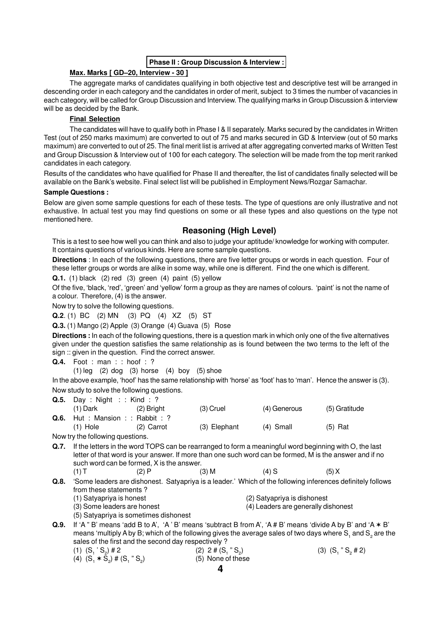#### **Phase II : Group Discussion & Interview :**

#### **Max. Marks [ GD–20, Interview - 30 ]**

The aggregate marks of candidates qualifying in both objective test and descriptive test will be arranged in descending order in each category and the candidates in order of merit, subject to 3 times the number of vacancies in each category, will be called for Group Discussion and Interview. The qualifying marks in Group Discussion & interview will be as decided by the Bank.

#### **Final Selection**

The candidates will have to qualify both in Phase I & II separately. Marks secured by the candidates in Written Test (out of 250 marks maximum) are converted to out of 75 and marks secured in GD & Interview (out of 50 marks maximum) are converted to out of 25. The final merit list is arrived at after aggregating converted marks of Written Test and Group Discussion & Interview out of 100 for each category. The selection will be made from the top merit ranked candidates in each category.

Results of the candidates who have qualified for Phase II and thereafter, the list of candidates finally selected will be available on the Bank's website. Final select list will be published in Employment News/Rozgar Samachar.

#### **Sample Questions :**

Below are given some sample questions for each of these tests. The type of questions are only illustrative and not exhaustive. In actual test you may find questions on some or all these types and also questions on the type not mentioned here.

# **Reasoning (High Level)**

This is a test to see how well you can think and also to judge your aptitude/ knowledge for working with computer. It contains questions of various kinds. Here are some sample questions.

**Directions** : In each of the following questions, there are five letter groups or words in each question. Four of these letter groups or words are alike in some way, while one is different. Find the one which is different.

**Q.1.** (1) black (2) red (3) green (4) paint (5) yellow

Of the five, 'black, 'red', 'green' and 'yellow' form a group as they are names of colours. 'paint' is not the name of a colour. Therefore, (4) is the answer.

Now try to solve the following questions.

**Q.2**. (1) BC (2) MN (3) PQ (4) XZ (5) ST

**Q.3.** (1) Mango (2) Apple (3) Orange (4) Guava (5) Rose

**Directions :** In each of the following questions, there is a question mark in which only one of the five alternatives given under the question satisfies the same relationship as is found between the two terms to the left of the sign :: given in the question. Find the correct answer.

**Q.4.** Foot : man : : hoof : ?

 $(1)$  leg  $(2)$  dog  $(3)$  horse  $(4)$  boy  $(5)$  shoe

In the above example, 'hoof' has the same relationship with 'horse' as 'foot' has to 'man'. Hence the answer is (3). Now study to solve the following questions.

|      | <b>Q.5.</b> Day : Night : : Kind : ? |                                                                                                                                                                                                                                                                |              |                                     |                                                                                                                                                                                                                             |  |
|------|--------------------------------------|----------------------------------------------------------------------------------------------------------------------------------------------------------------------------------------------------------------------------------------------------------------|--------------|-------------------------------------|-----------------------------------------------------------------------------------------------------------------------------------------------------------------------------------------------------------------------------|--|
|      | (1) Dark                             | $(2)$ Bright                                                                                                                                                                                                                                                   | $(3)$ Cruel  | (4) Generous                        | (5) Gratitude                                                                                                                                                                                                               |  |
|      | Q.6. Hut: Mansion: : Rabbit: ?       |                                                                                                                                                                                                                                                                |              |                                     |                                                                                                                                                                                                                             |  |
|      | $(1)$ Hole                           | $(2)$ Carrot                                                                                                                                                                                                                                                   | (3) Elephant | (4) Small                           | $(5)$ Rat                                                                                                                                                                                                                   |  |
|      | Now try the following questions.     |                                                                                                                                                                                                                                                                |              |                                     |                                                                                                                                                                                                                             |  |
| Q.7. |                                      | If the letters in the word TOPS can be rearranged to form a meaningful word beginning with O, the last<br>letter of that word is your answer. If more than one such word can be formed, M is the answer and if no<br>such word can be formed, X is the answer. |              |                                     |                                                                                                                                                                                                                             |  |
|      | $(1)$ T                              | (2)P                                                                                                                                                                                                                                                           | $(3)$ M      | $(4)$ S                             | (5) X                                                                                                                                                                                                                       |  |
| Q.8. | from these statements?               |                                                                                                                                                                                                                                                                |              |                                     | 'Some leaders are dishonest. Satyapriya is a leader.' Which of the following inferences definitely follows                                                                                                                  |  |
|      | (1) Satyapriya is honest             |                                                                                                                                                                                                                                                                |              | (2) Satyapriya is dishonest         |                                                                                                                                                                                                                             |  |
|      | (3) Some leaders are honest          |                                                                                                                                                                                                                                                                |              | (4) Leaders are generally dishonest |                                                                                                                                                                                                                             |  |
|      |                                      | (5) Satyapriya is sometimes dishonest                                                                                                                                                                                                                          |              |                                     |                                                                                                                                                                                                                             |  |
| Q.9. |                                      |                                                                                                                                                                                                                                                                |              |                                     | If 'A " B' means 'add B to A', 'A' B' means 'subtract B from A', 'A # B' means 'divide A by B' and 'A $*$ B'<br>means 'multiply A by Purpich of the following gives the overage soles of two dove where $C$ and $C$ are the |  |

means 'multiply A by B; which of the following gives the average sales of two days where  $\mathsf{S}_{_1}$  and  $\mathsf{S}_{_2}$  are the sales of the first and the second day respectively ?

| $(1)$ $(S_1 \text{'} S_2)$ # 2    | $(2)$ 2 # $(S_1$ " $S_2)$ | $(3)$ $(S_1$ " $S_2$ # 2) |
|-----------------------------------|---------------------------|---------------------------|
| (4) $(S_1 * S_2)$ # $(S_1 " S_2)$ | (5) None of these         |                           |
|                                   |                           |                           |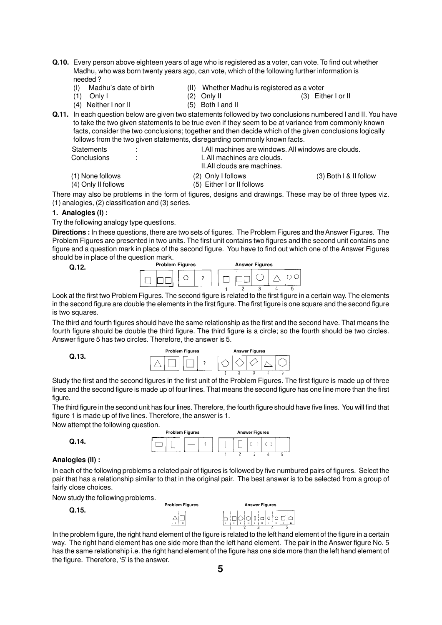- **Q.10.** Every person above eighteen years of age who is registered as a voter, can vote. To find out whether Madhu, who was born twenty years ago, can vote, which of the following further information is needed ?
	- (I) Madhu's date of birth (II) Whether Madhu is registered as a voter
		-
- - (1) Only I (2) Only II (3) Either I or II (4) Neither I nor II (5) Both I and II  $(4)$  Neither I nor II
		-
- **Q.11.** In each question below are given two statements followed by two conclusions numbered I and II. You have to take the two given statements to be true even if they seem to be at variance from commonly known facts, consider the two conclusions; together and then decide which of the given conclusions logically follows from the two given statements, disregarding commonly known facts.

| <b>Statements</b>   | I. All machines are windows. All windows are clouds. |                        |
|---------------------|------------------------------------------------------|------------------------|
| Conclusions         | I. All machines are clouds.                          |                        |
|                     | II.All clouds are machines.                          |                        |
| (1) None follows    | (2) Only I follows                                   | (3) Both I & II follow |
| (4) Only II follows | (5) Either I or II follows                           |                        |

There may also be problems in the form of figures, designs and drawings. These may be of three types viz. (1) analogies, (2) classification and (3) series.

#### **1. Analogies (I) :**

**Q.12.**

Try the following analogy type questions.

**Directions :** In these questions, there are two sets of figures. The Problem Figures and the Answer Figures. The Problem Figures are presented in two units. The first unit contains two figures and the second unit contains one figure and a question mark in place of the second figure. You have to find out which one of the Answer Figures should be in place of the question mark.



Look at the first two Problem Figures. The second figure is related to the first figure in a certain way. The elements in the second figure are double the elements in the first figure. The first figure is one square and the second figure is two squares.

The third and fourth figures should have the same relationship as the first and the second have. That means the fourth figure should be double the third figure. The third figure is a circle; so the fourth should be two circles. Answer figure 5 has two circles. Therefore, the answer is 5.

**Q.13.**



Study the first and the second figures in the first unit of the Problem Figures. The first figure is made up of three lines and the second figure is made up of four lines. That means the second figure has one line more than the first figure.

The third figure in the second unit has four lines. Therefore, the fourth figure should have five lines. You will find that figure 1 is made up of five lines. Therefore, the answer is 1.

Now attempt the following question.



#### **Analogies (II) :**

**Q.14.**

In each of the following problems a related pair of figures is followed by five numbured pairs of figures. Select the pair that has a relationship similar to that in the original pair. The best answer is to be selected from a group of fairly close choices.

Now study the following problems.

| --    | <b>Problem Figures</b>         | <b>Answer Figures</b>                 |  |  |  |  |
|-------|--------------------------------|---------------------------------------|--|--|--|--|
| Q.15. | $\overline{\phantom{a}}$<br>__ | امزهاه زماه<br>$\sim$<br>$\mathbf{B}$ |  |  |  |  |

In the problem figure, the right hand element of the figure is related to the left hand element of the figure in a certain way. The right hand element has one side more than the left hand element. The pair in the Answer figure No. 5 has the same relationship i.e. the right hand element of the figure has one side more than the left hand element of the figure. Therefore, '5' is the answer.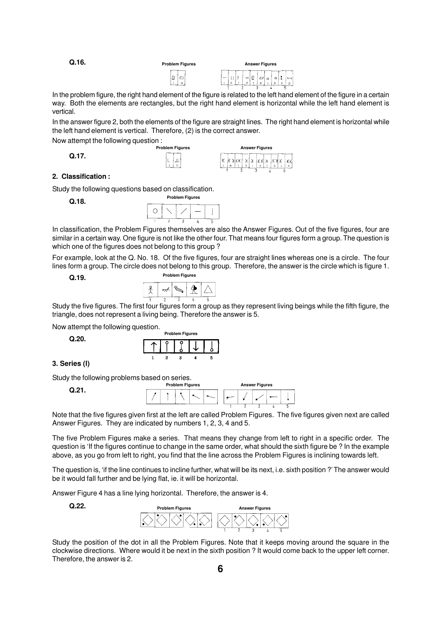**Q.16. Problem Figures Answer Figures** l۵  $\Box$ ln.  $\overline{a}$  $\circ$ 

 $\overline{\mathbf{u}}$ 

In the problem figure, the right hand element of the figure is related to the left hand element of the figure in a certain way. Both the elements are rectangles, but the right hand element is horizontal while the left hand element is vertical.

In the answer figure 2, both the elements of the figure are straight lines. The right hand element is horizontal while the left hand element is vertical. Therefore, (2) is the correct answer.

Now attempt the following question : . .<br>Problem Figures

**Q.17.**



#### **2. Classification :**

Study the following questions based on classification.

**Q.18.**



In classification, the Problem Figures themselves are also the Answer Figures. Out of the five figures, four are similar in a certain way. One figure is not like the other four. That means four figures form a group. The question is which one of the figures does not belong to this group ?

For example, look at the Q. No. 18. Of the five figures, four are straight lines whereas one is a circle. The four lines form a group. The circle does not belong to this group. Therefore, the answer is the circle which is figure 1.

**Q.19.**

| <b>Problem Figures</b> |  |  |  |  |
|------------------------|--|--|--|--|
|                        |  |  |  |  |
|                        |  |  |  |  |

Study the five figures. The first four figures form a group as they represent living beings while the fifth figure, the triangle, does not represent a living being. Therefore the answer is 5.

Now attempt the following question.

**Q.20.**

| <b>Problem Figures</b> |  |  |  |  |  |
|------------------------|--|--|--|--|--|
|                        |  |  |  |  |  |
|                        |  |  |  |  |  |

**3. Series (l)**

Study the following problems based on series.

**Q.21.**



Note that the five figures given first at the left are called Problem Figures. The five figures given next are called Answer Figures. They are indicated by numbers 1, 2, 3, 4 and 5.

The five Problem Figures make a series. That means they change from left to right in a specific order. The question is 'If the figures continue to change in the same order, what should the sixth figure be ? In the example above, as you go from left to right, you find that the line across the Problem Figures is inclining towards left.

The question is, 'if the line continues to incline further, what will be its next, i.e. sixth position ?'The answer would be it would fall further and be lying flat, ie. it will be horizontal.

Answer Figure 4 has a line lying horizontal. Therefore, the answer is 4.

**Q.22.**



Study the position of the dot in all the Problem Figures. Note that it keeps moving around the square in the clockwise directions. Where would it be next in the sixth position ? It would come back to the upper left corner. Therefore, the answer is 2.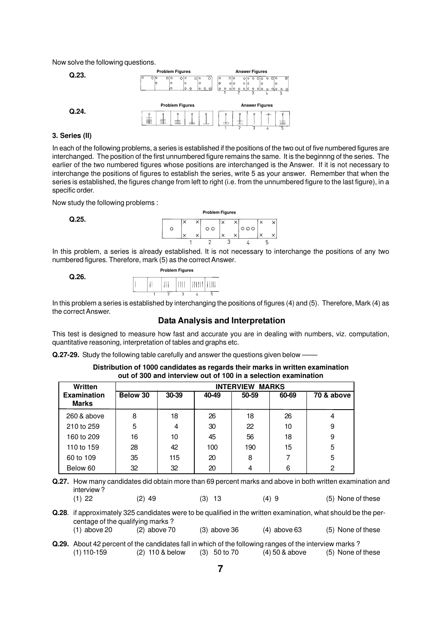Now solve the following questions.



#### **3. Series (ll)**

In each of the following problems, a series is established if the positions of the two out of five numbered figures are interchanged. The position of the first unnumbered figure remains the same. It is the beginnng of the series. The earlier of the two numbered figures whose positions are interchanged is the Answer. If it is not necessary to interchange the positions of figures to establish the series, write 5 as your answer. Remember that when the series is established, the figures change from left to right (i.e. from the unnumbered figure to the last figure), in a specific order.

Now study the following problems :

**Q.25.**



In this problem, a series is already established. It is not necessary to interchange the positions of any two numbered figures. Therefore, mark (5) as the correct Answer.

#### **Q.26.**



In this problem a series is established by interchanging the positions of figures (4) and (5). Therefore, Mark (4) as the correct Answer.

# **Data Analysis and Interpretation**

This test is designed to measure how fast and accurate you are in dealing with numbers, viz. computation, quantitative reasoning, interpretation of tables and graphs etc.

**Q.27-29.** Study the following table carefully and answer the questions given below –

| Distribution of 1000 candidates as regards their marks in written examination |  |
|-------------------------------------------------------------------------------|--|
| out of 300 and interview out of 100 in a selection examination                |  |

| Written                            |          | <b>INTERVIEW</b><br><b>MARKS</b> |       |       |       |            |  |
|------------------------------------|----------|----------------------------------|-------|-------|-------|------------|--|
| <b>Examination</b><br><b>Marks</b> | Below 30 | 30-39                            | 40-49 | 50-59 | 60-69 | 70 & above |  |
| 260 & above                        | 8        | 18                               | 26    | 18    | 26    | 4          |  |
| 210 to 259                         | 5        | 4                                | 30    | 22    | 10    | 9          |  |
| 160 to 209                         | 16       | 10                               | 45    | 56    | 18    | 9          |  |
| 110 to 159                         | 28       | 42                               | 100   | 190   | 15    | 5          |  |
| 60 to 109                          | 35       | 115                              | 20    | 8     | 7     | 5          |  |
| Below 60                           | 32       | 32                               | 20    | 4     | 6     | 2          |  |

**Q.27.** How many candidates did obtain more than 69 percent marks and above in both written examination and interview ?

(1) 22 (2) 49 (3) 13 (4) 9 (5) None of these **Q.28**. if approximately 325 candidates were to be qualified in the written examination, what should be the per-

- centage of the qualifying marks ? (1) above 20 (2) above 70 (3) above 36 (4) above 63 (5) None of these
- **Q.29.** About 42 percent of the candidates fall in which of the following ranges of the interview marks ? (1) 110-159 (2) 110 & below (3) 50 to 70 (4) 50 & above (5) None of these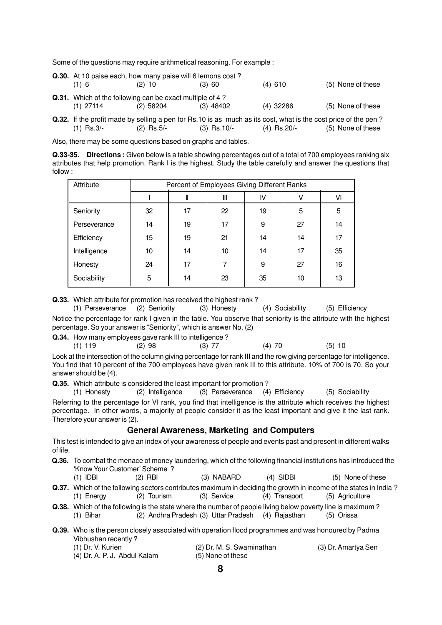Some of the questions may require arithmetical reasoning. For example :

|             | <b>Q.30.</b> At 10 paise each, how many paise will 6 lemons cost? |             |             |                   |
|-------------|-------------------------------------------------------------------|-------------|-------------|-------------------|
| $(1)$ 6     | $(2)$ 10                                                          | $(3)$ 60    | $(4)$ 610   | (5) None of these |
|             | <b>Q.31.</b> Which of the following can be exact multiple of 4?   |             |             |                   |
| $(1)$ 27114 | $(2)$ 58204                                                       | $(3)$ 48402 | $(4)$ 32286 | (5) None of these |

**Q.32.** If the profit made by selling a pen for Rs.10 is as much as its cost, what is the cost price of the pen ?<br>(1) Rs.3/- (2) Rs.5/- (3) Rs.10/- (4) Rs.20/- (5) None of these (2)  $\text{Rs.5/}-$  (3)  $\text{Rs.10/}-$  (4)  $\text{Rs.20/}-$  (5) None of these

Also, there may be some questions based on graphs and tables.

**Q.33-35. Directions :** Given below is a table showing percentages out of a total of 700 employees ranking six attributes that help promotion. Rank I is the highest. Study the table carefully and answer the questions that follow :

| Attribute    | Percent of Employees Giving Different Ranks |    |    |    |    |    |
|--------------|---------------------------------------------|----|----|----|----|----|
|              |                                             | Ш  | Ш  | IV |    | VI |
| Seniority    | 32                                          | 17 | 22 | 19 | 5  | 5  |
| Perseverance | 14                                          | 19 | 17 | 9  | 27 | 14 |
| Efficiency   | 15                                          | 19 | 21 | 14 | 14 | 17 |
| Intelligence | 10                                          | 14 | 10 | 14 | 17 | 35 |
| Honesty      | 24                                          | 17 |    | 9  | 27 | 16 |
| Sociability  | 5                                           | 14 | 23 | 35 | 10 | 13 |

**Q.33.** Which attribute for promotion has received the highest rank?

(1) Perseverance (2) Seniority (3) Honesty (4) Sociability (5) Efficiency Notice the percentage for rank I given in the table. You observe that seniority is the attribute with the highest percentage. So your answer is "Seniority", which is answer No. (2)

**Q.34.** How many employees gave rank III to intelligence?

(1) 119 (2) 98 (3) 77 (4) 70 (5) 10

Look at the intersection of the column giving percentage for rank III and the row giving percentage for intelligence. You find that 10 percent of the 700 employees have given rank III to this attribute. 10% of 700 is 70. So your answer should be (4).

**Q.35.** Which attribute is considered the least important for promotion ?

(1) Honesty (2) Intelligence (3) Perseverance (4) Efficiency (5) Sociability

Referring to the percentage for VI rank, you find that intelligence is the attribute which receives the highest percentage. In other words, a majority of people consider it as the least important and give it the last rank. Therefore your answer is (2).

#### **General Awareness, Marketing and Computers**

This test is intended to give an index of your awareness of people and events past and present in different walks of life.

- **Q.36.** To combat the menace of money laundering, which of the following financial institutions has introduced the 'Know Your Customer' Scheme ?
	- (1) IDBI (2) RBI (3) NABARD (4) SIDBI (5) None of these
- **Q.37.** Which of the following sectors contributes maximum in deciding the growth in income of the states in India ? (1) Energy (2) Tourism (3) Service (4) Transport (5) Agriculture
- **Q.38.** Which of the following is the state where the number of people living below poverty line is maximum ?<br>(1) Bihar (2) Andhra Pradesh (3) Uttar Pradesh (4) Rajasthan (5) Orissa (2) Andhra Pradesh (3) Uttar Pradesh (4) Rajasthan (5) Orissa

|                     | <b>Q.39.</b> Who is the person closely associated with operation flood programmes and was honoured by Padma |                     |
|---------------------|-------------------------------------------------------------------------------------------------------------|---------------------|
| Vibhushan recently? |                                                                                                             |                     |
| $(1)$ Dr. V. Kurien | (2) Dr. M. S. Swaminathan                                                                                   | (3) Dr. Amartya Sen |

|                              | $(1)$ $\rightarrow$ $\cdots$ $\cdots$ |                   |  |
|------------------------------|---------------------------------------|-------------------|--|
| (4) Dr. A. P. J. Abdul Kalam |                                       | (5) None of these |  |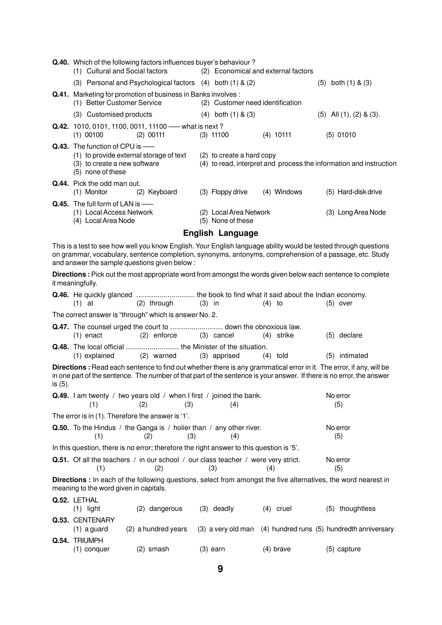|         | (1) Cultural and Social factors                                                                                                | Q.40. Which of the following factors influences buyer's behaviour?                                                                                                                                                                                                          |          |                                             | (2) Economical and external factors |                                                                    |
|---------|--------------------------------------------------------------------------------------------------------------------------------|-----------------------------------------------------------------------------------------------------------------------------------------------------------------------------------------------------------------------------------------------------------------------------|----------|---------------------------------------------|-------------------------------------|--------------------------------------------------------------------|
|         |                                                                                                                                | (3) Personal and Psychological factors (4) both (1) & (2)                                                                                                                                                                                                                   |          |                                             |                                     | $(5)$ both $(1)$ & $(3)$                                           |
|         | (1) Better Customer Service                                                                                                    | Q.41. Marketing for promotion of business in Banks involves :                                                                                                                                                                                                               |          | (2) Customer need identification            |                                     |                                                                    |
|         | (3) Customised products                                                                                                        |                                                                                                                                                                                                                                                                             |          | $(4)$ both $(1)$ & $(3)$                    |                                     | $(5)$ All $(1)$ , $(2)$ & $(3)$ .                                  |
|         | $(1)$ 00100                                                                                                                    | Q.42. 1010, 0101, 1100, 0011, 11100 - what is next?<br>$(2)$ 00111                                                                                                                                                                                                          |          | $(3)$ 11100                                 | $(4)$ 10111                         | $(5)$ 01010                                                        |
|         | Q.43. The function of CPU is -<br>(1) to provide external storage of text<br>(3) to create a new software<br>(5) none of these |                                                                                                                                                                                                                                                                             |          | (2) to create a hard copy                   |                                     | (4) to read, interpret and process the information and instruction |
|         | Q.44. Pick the odd man out.<br>(1) Monitor                                                                                     | (2) Keyboard                                                                                                                                                                                                                                                                |          | (3) Floppy drive                            | (4) Windows                         | (5) Hard-disk drive                                                |
|         | Q.45. The full form of LAN is -<br>(1) Local Access Network<br>(4) Local Area Node                                             |                                                                                                                                                                                                                                                                             |          | (2) Local Area Network<br>(5) None of these |                                     | (3) Long Area Node                                                 |
|         |                                                                                                                                |                                                                                                                                                                                                                                                                             |          | <b>English Language</b>                     |                                     |                                                                    |
|         |                                                                                                                                | This is a test to see how well you know English. Your English language ability would be tested through questions<br>on grammar, vocabulary, sentence completion, synonyms, antonyms, comprehension of a passage, etc. Study<br>and answer the sample questions given below: |          |                                             |                                     |                                                                    |
|         | it meaningfully.                                                                                                               | Directions : Pick out the most appropriate word from amongst the words given below each sentence to complete                                                                                                                                                                |          |                                             |                                     |                                                                    |
|         | $(1)$ at                                                                                                                       | Q.46. He quickly glanced  the book to find what it said about the Indian economy.<br>(2) through                                                                                                                                                                            | $(3)$ in |                                             | $(4)$ to                            | $(5)$ over                                                         |
|         |                                                                                                                                | The correct answer is "through" which is answer No. 2.                                                                                                                                                                                                                      |          |                                             |                                     |                                                                    |
|         | $(1)$ enact                                                                                                                    | $(2)$ enforce                                                                                                                                                                                                                                                               |          | (3) cancel                                  | (4) strike                          | (5) declare                                                        |
|         | (1) explained                                                                                                                  | Q.48. The local official  the Minister of the situation.<br>(2) warned                                                                                                                                                                                                      |          | (3) apprised                                | $(4)$ told                          | (5) intimated                                                      |
| is (5). |                                                                                                                                | Directions: Read each sentence to find out whether there is any grammatical error in it. The error, if any, will be<br>in one part of the sentence. The number of that part of the sentence is your answer. If there is no error, the answer                                |          |                                             |                                     |                                                                    |
|         | (1)                                                                                                                            | Q.49. I am twenty / two years old / when I first / joined the bank.<br>(2)<br>(3)                                                                                                                                                                                           |          | (4)                                         |                                     | No error<br>(5)                                                    |
|         | The error is in (1). Therefore the answer is '1'.                                                                              |                                                                                                                                                                                                                                                                             |          |                                             |                                     |                                                                    |
|         | (1)                                                                                                                            | <b>Q.50.</b> To the Hindus / the Ganga is / holier than / any other river.<br>(3)<br>(2)                                                                                                                                                                                    |          | (4)                                         |                                     | No error<br>(5)                                                    |
|         |                                                                                                                                | In this question, there is no error; therefore the right answer to this question is '5'.                                                                                                                                                                                    |          |                                             |                                     |                                                                    |
|         | (1)                                                                                                                            | <b>Q.51.</b> Of all the teachers / in our school / our class teacher / were very strict.<br>(2)                                                                                                                                                                             |          | (3)                                         | (4)                                 | No error<br>(5)                                                    |
|         | meaning to the word given in capitals.                                                                                         | Directions : In each of the following questions, select from amongst the five alternatives, the word nearest in                                                                                                                                                             |          |                                             |                                     |                                                                    |
|         | Q.52. LETHAL<br>$(1)$ light                                                                                                    | (2) dangerous                                                                                                                                                                                                                                                               |          | (3) deadly                                  | $(4)$ cruel                         | (5) thoughtless                                                    |
|         | Q.53. CENTENARY<br>$(1)$ a guard                                                                                               | (2) a hundred years                                                                                                                                                                                                                                                         |          |                                             |                                     | (3) a very old man (4) hundred runs (5) hundredth anniversary      |
|         | Q.54. TRIUMPH<br>(1) conquer                                                                                                   | (2) smash                                                                                                                                                                                                                                                                   |          | $(3)$ earn                                  | $(4)$ brave                         | (5) capture                                                        |

**9**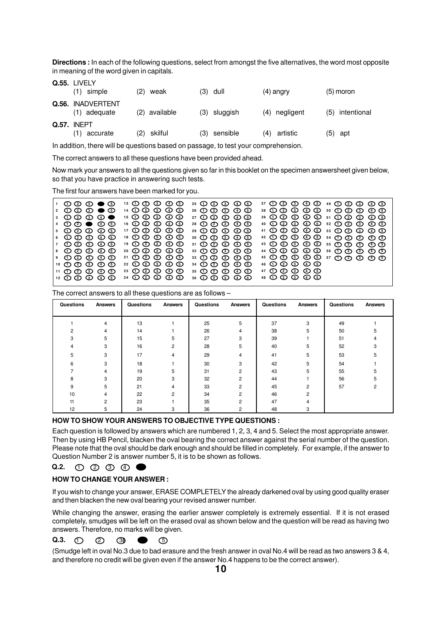**Directions :** In each of the following questions, select from amongst the five alternatives, the word most opposite in meaning of the word given in capitals.

| Q.55. LIVELY                      |     |               |                |                 |     |             |
|-----------------------------------|-----|---------------|----------------|-----------------|-----|-------------|
| (1) simple                        | (2) | weak          | (3) dull       | $(4)$ angry     |     | $(5)$ moron |
| Q.56. INADVERTENT<br>(1) adequate |     | (2) available | $(3)$ sluggish | (4) negligent   | (5) | intentional |
| Q.57. INEPT<br>(1)<br>accurate    |     | (2) skilful   | (3) sensible   | artistic<br>(4) |     | $(5)$ apt   |

In addition, there will be questions based on passage, to test your comprehension.

The correct answers to all these questions have been provided ahead.

Now mark your answers to all the questions given so far in this booklet on the specimen answersheet given below, so that you have practice in answering such tests.

The first four answers have been marked for you.

| $1\ \ 0\ \ 0\ \ 0\ \ \bullet\ \ \ 0$                        | 13 ① ② ③ ④ ⑤                                                              | 25 ① ② ③ ④ ⑤                                 | <b>37 ① ② ③ ④ ⑤ 49 ② ③ ③ ④⑤</b>                                                              |
|-------------------------------------------------------------|---------------------------------------------------------------------------|----------------------------------------------|----------------------------------------------------------------------------------------------|
| $2^\circ$ $\bullet$ $\bullet$ $\bullet$ $\bullet$ $\bullet$ | 14 ① ② ③ ④ ⑤                                                              | 26 ① ② ③ ④ ⑤                                 |                                                                                              |
|                                                             | <b>15 ① ② ③ ④ ③</b>                                                       | $27$ ① ② ③ ④ ③                               | 39 ① ② ③ ④ ⑤ 51 ① ② ③ ④ ③                                                                    |
| $4\circledcirc$ $\bullet$ $\circledcirc$ $\circledcirc$     | 16 ① ② ③ ④ ③                                                              | 28 ① ② ③ ④ ⑤                                 | 40 0 0 0 0 0 52 0 0 0 0 0 0                                                                  |
| <u> 5 ① ② ③ ④ ⑤</u>                                         | $17 \oplus \textcircled{2} \oplus \textcircled{3} \oplus \textcircled{5}$ | 29 ① ② ③ ④ ③                                 | $41$ $\odot$ $\odot$ $\odot$ $\odot$ $\odot$ $\odot$ $\odot$ $\odot$ $\odot$ $\odot$ $\odot$ |
| <u>ေပေတလစစ</u>                                              | 18 ① ② ③ ④ ⑤                                                              | 30 ① ② ③ ④ ⑤                                 |                                                                                              |
|                                                             | <u> 19 ① ② ③ ④ ⑤</u>                                                      | $31$ $\odot$ $\odot$ $\odot$ $\odot$ $\odot$ | 43 1 0 0 0 0 0 5 5 0 0 0 0 0 0 0                                                             |
| 8 ග@ ග ග ග <b>0</b>                                         | 20 ① ② ③ ④ ③                                                              | 32 1 1 2 3 4 5 6                             |                                                                                              |
| 9.00000                                                     | 21 ① ② ③ ④ ⑤                                                              | 33 ① ② ③ ④ ③                                 |                                                                                              |
| <u>10 ① ② ③ ④ ⑤</u>                                         | 22 ① ② ③ ④ ⑤                                                              | $34$ ① ② ③ ④ ③                               | 46 ① ② ③ ④ ⑤                                                                                 |
| $11$ ① ② ③ ④ ③                                              | 23 1 1 2 1 3 4 1 5 1                                                      | 35 ① ② ③ ④ ⑤                                 | $47$ ① ② ③ ④ ③                                                                               |
| 12 ① ② ③ ④ ⑤                                                | $34$ $\odot$ $\odot$ $\odot$ $\odot$ $\odot$                              | 36 ① ② ③ ④ ⑤                                 | 48 ① ② ③ ④ ⑤                                                                                 |
|                                                             |                                                                           |                                              |                                                                                              |

The correct answers to all these questions are as follows –

| Questions | <b>Answers</b> | Questions | <b>Answers</b> | Questions | <b>Answers</b> | Questions | <b>Answers</b> | Questions | <b>Answers</b> |
|-----------|----------------|-----------|----------------|-----------|----------------|-----------|----------------|-----------|----------------|
|           |                |           |                |           |                |           |                |           |                |
|           | 4              | 13        |                | 25        | 5              | 37        | 3              | 49        |                |
|           |                | 14        |                | 26        | 4              | 38        |                | 50        |                |
|           | 5.             | 15        | 5              | 27        | 3              | 39        |                | 51        |                |
|           | 3              | 16        | 2              | 28        | 5              | 40        | 5              | 52        |                |
| 5         | 3              | 17        | 4              | 29        | 4              | 41        | 5              | 53        |                |
|           | 3              | 18        |                | 30        | 3              | 42        |                | 54        |                |
|           |                | 19        | h              | 31        | 2              | 43        |                | 55        |                |
|           | 3              | 20        | 3              | 32        | 2              | 44        |                | 56        | 5              |
| 9         | 5              | 21        | 4              | 33        | $\overline{2}$ | 45        | $\overline{2}$ | 57        |                |
| 10        |                | 22        | っ              | 34        | 2              | 46        | 2              |           |                |
| 11        | 2              | 23        |                | 35        | $\overline{2}$ | 47        |                |           |                |
| 12        | 5.             | 24        |                | 36        |                | 48        | 3              |           |                |

#### **HOW TO SHOW YOUR ANSWERS TO OBJECTIVE TYPE QUESTIONS :**

Each question is followed by answers which are numbered 1, 2, 3, 4 and 5. Select the most appropriate answer. Then by using HB Pencil, blacken the oval bearing the correct answer against the serial number of the question. Please note that the oval should be dark enough and should be filled in completely. For example, if the answer to Question Number 2 is answer number 5, it is to be shown as follows.

**Q.2.**  $00000$ 

#### **HOW TO CHANGE YOUR ANSWER :**

If you wish to change your answer, ERASE COMPLETELY the already darkened oval by using good quality eraser and then blacken the new oval bearing your revised answer number.

While changing the answer, erasing the earlier answer completely is extremely essential. If it is not erased completely, smudges will be left on the erased oval as shown below and the question will be read as having two answers. Therefore, no marks will be given.

#### **Q.3.** ①  $\circledcirc$   $\circledcirc$   $\circledcirc$

(Smudge left in oval No.3 due to bad erasure and the fresh answer in oval No.4 will be read as two answers 3 & 4, and therefore no credit will be given even if the answer No.4 happens to be the correct answer).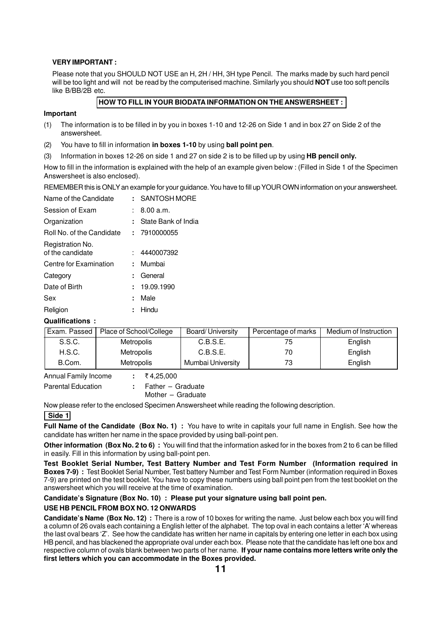#### **VERY IMPORTANT :**

Please note that you SHOULD NOT USE an H, 2H / HH, 3H type Pencil. The marks made by such hard pencil will be too light and will not be read by the computerised machine. Similarly you should **NOT** use too soft pencils like B/BB/2B etc.

# **HOW TO FILL IN YOUR BIODATA INFORMATION ON THE ANSWERSHEET :**

#### **Important**

- (1) The information is to be filled in by you in boxes 1-10 and 12-26 on Side 1 and in box 27 on Side 2 of the answersheet.
- (2) You have to fill in information **in boxes 1-10** by using **ball point pen**.
- (3) Information in boxes 12-26 on side 1 and 27 on side 2 is to be filled up by using **HB pencil only.**

How to fill in the information is explained with the help of an example given below : (Filled in Side 1 of the Specimen Answersheet is also enclosed).

REMEMBER this is ONLY an example for your guidance. You have to fill up YOUR OWN information on your answersheet.

| Name of the Candidate                |    | : SANTOSH MORE      |
|--------------------------------------|----|---------------------|
| Session of Exam                      |    | 8.00 a.m.           |
| Organization                         | ÷. | State Bank of India |
| Roll No. of the Candidate            |    | : 7910000055        |
| Registration No.<br>of the candidate |    | 4440007392          |
| Centre for Examination               | ÷. | Mumbai              |
| Category                             | ٠. | General             |
| Date of Birth                        |    | : 19.09.1990        |
| Sex                                  | ÷  | Male                |
| Religion                             | ٠. | Hindu               |
|                                      |    |                     |

# **Qualifications :**

| Exam. Passed ' | Place of School/College | Board/University  | Percentage of marks | Medium of Instruction |
|----------------|-------------------------|-------------------|---------------------|-----------------------|
| S.S.C.         | <b>Metropolis</b>       | C.B.S.E.          | 75                  | English               |
| H.S.C.         | Metropolis              | C.B.S.E.          | 70                  | English               |
| B.Com.         | <b>Metropolis</b>       | Mumbai University | 73                  | English               |

Annual Family Income : ₹4,25,000

Parental Education **:** Father – Graduate Mother – Graduate

Now please refer to the enclosed Specimen Answersheet while reading the following description.

#### **Side 1**

Full Name of the Candidate (Box No. 1) : You have to write in capitals your full name in English. See how the candidate has written her name in the space provided by using ball-point pen.

**Other information (Box No. 2 to 6) :** You will find that the information asked for in the boxes from 2 to 6 can be filled in easily. Fill in this information by using ball-point pen.

**Test Booklet Serial Number, Test Battery Number and Test Form Number (Information required in Boxes 7-9) :** Test Booklet Serial Number, Test battery Number and Test Form Number (information required in Boxes 7-9) are printed on the test booklet. You have to copy these numbers using ball point pen from the test booklet on the answersheet which you will receive at the time of examination.

**Candidate's Signature (Box No. 10) : Please put your signature using ball point pen.**

# **USE HB PENCIL FROM BOX NO. 12 ONWARDS**

**Candidate's Name (Box No. 12) :** There is a row of 10 boxes for writing the name. Just below each box you will find a column of 26 ovals each containing a English letter of the alphabet. The top oval in each contains a letter 'A' whereas the last oval bears 'Z'. See how the candidate has written her name in capitals by entering one letter in each box using HB pencil, and has blackened the appropriate oval under each box. Please note that the candidate has left one box and respective column of ovals blank between two parts of her name. **If your name contains more letters write only the first letters which you can accommodate in the Boxes provided.**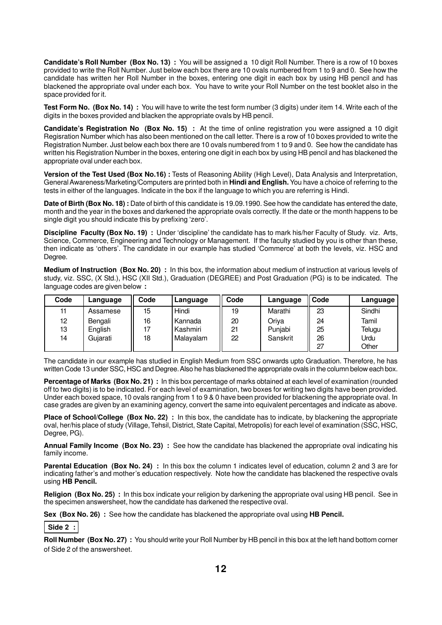**Candidate's Roll Number (Box No. 13) :** You will be assigned a 10 digit Roll Number. There is a row of 10 boxes provided to write the Roll Number. Just below each box there are 10 ovals numbered from 1 to 9 and 0. See how the candidate has written her Roll Number in the boxes, entering one digit in each box by using HB pencil and has blackened the appropriate oval under each box. You have to write your Roll Number on the test booklet also in the space provided for it.

**Test Form No. (Box No. 14) :** You will have to write the test form number (3 digits) under item 14. Write each of the digits in the boxes provided and blacken the appropriate ovals by HB pencil.

**Candidate's Registration No (Box No. 15) :** At the time of online registration you were assigned a 10 digit Regisration Number which has also been mentioned on the call letter. There is a row of 10 boxes provided to write the Registration Number. Just below each box there are 10 ovals numbered from 1 to 9 and 0. See how the candidate has written his Registration Number in the boxes, entering one digit in each box by using HB pencil and has blackened the appropriate oval under each box.

**Version of the Test Used (Box No.16) :** Tests of Reasoning Ability (High Level), Data Analysis and Interpretation, General Awareness/Marketing/Computers are printed both in **Hindi and English.** You have a choice of referring to the tests in either of the languages. Indicate in the box if the language to which you are referring is Hindi.

**Date of Birth (Box No. 18) :** Date of birth of this candidate is 19.09.1990. See how the candidate has entered the date, month and the year in the boxes and darkened the appropriate ovals correctly. If the date or the month happens to be single digit you should indicate this by prefixing 'zero'.

**Discipline Faculty (Box No. 19) :** Under 'discipline' the candidate has to mark his/her Faculty of Study. viz. Arts, Science, Commerce, Engineering and Technology or Management. If the faculty studied by you is other than these, then indicate as 'others'. The candidate in our example has studied 'Commerce' at both the levels, viz. HSC and Degree.

**Medium of Instruction (Box No. 20) :** In this box, the information about medium of instruction at various levels of study, viz. SSC, (X Std.), HSC (XII Std.), Graduation (DEGREE) and Post Graduation (PG) is to be indicated. The language codes are given below **:**

| Code | Language | Code | Language   | Code | Language | Code | Language |
|------|----------|------|------------|------|----------|------|----------|
| 11   | Assamese | 15   | Hindi      | 19   | Marathi  | 23   | Sindhi   |
| 12   | Bengali  | 16   | Kannada    | 20   | Oriya    | 24   | Tamil    |
| 13   | English  | 17   | l Kashmiri | 21   | Punjabi  | 25   | Telugu   |
| 14   | Gujarati | 18   | Malayalam  | 22   | Sanskrit | 26   | Urdu     |
|      |          |      |            |      |          | 27   | Other    |

The candidate in our example has studied in English Medium from SSC onwards upto Graduation. Therefore, he has written Code 13 under SSC, HSC and Degree. Also he has blackened the appropriate ovals in the column below each box.

**Percentage of Marks (Box No. 21) :** In this box percentage of marks obtained at each level of examination (rounded off to two digits) is to be indicated. For each level of examination, two boxes for writing two digits have been provided. Under each boxed space, 10 ovals ranging from 1 to 9 & 0 have been provided for blackening the appropriate oval. In case grades are given by an examining agency, convert the same into equivalent percentages and indicate as above.

**Place of School/College (Box No. 22)** : In this box, the candidate has to indicate, by blackening the appropriate oval, her/his place of study (Village, Tehsil, District, State Capital, Metropolis) for each level of examination (SSC, HSC, Degree, PG).

**Annual Family Income (Box No. 23) :** See how the candidate has blackened the appropriate oval indicating his family income.

**Parental Education (Box No. 24) :** In this box the column 1 indicates level of education, column 2 and 3 are for indicating father's and mother's education respectively. Note how the candidate has blackened the respective ovals using **HB Pencil.**

**Religion (Box No. 25)**: In this box indicate your religion by darkening the appropriate oval using HB pencil. See in the specimen answersheet, how the candidate has darkened the respective oval.

**Sex (Box No. 26) :** See how the candidate has blackened the appropriate oval using **HB Pencil.**

 **Side 2 :**

**Roll Number (Box No. 27) :** You should write your Roll Number by HB pencil in this box at the left hand bottom corner of Side 2 of the answersheet.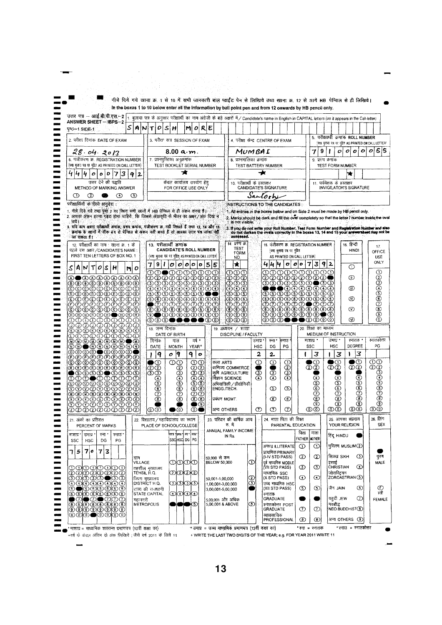| उत्तर पत्र -- आई.बी.पी.एस.--2                                                                                                                                               | In the boxes 1 to 10 below enter all the information by ball point pen and from 12 onwards by HB pencil only.<br>बुलावा फत्र के अनुसार परीक्षार्थी का नाम अंग्रेजी के बड़े अक्षरों में / Candidate's name in English in CAPITAL letters (as it appears in the Call-letter) |                                                                   |                                                                                                                                                                                           |                              |
|-----------------------------------------------------------------------------------------------------------------------------------------------------------------------------|----------------------------------------------------------------------------------------------------------------------------------------------------------------------------------------------------------------------------------------------------------------------------|-------------------------------------------------------------------|-------------------------------------------------------------------------------------------------------------------------------------------------------------------------------------------|------------------------------|
| <b>ANSWER SHEET - IBPS-2</b><br>AIN<br>पुष्ठ--1 SIDE-1                                                                                                                      | 0<br>l Si<br>RIE<br>M<br>т<br>н<br>ο                                                                                                                                                                                                                                       |                                                                   |                                                                                                                                                                                           |                              |
| 2. परीक्षा दिनांक DATE OF EXAM                                                                                                                                              | 3. परीक्षा सत्र SESSION OF EXAM                                                                                                                                                                                                                                            | 4. परीक्षा केन्द्र CENTRE OF EXAM                                 | 5. परीक्षार्थी क्रमांक ROLL NUMBER                                                                                                                                                        |                              |
|                                                                                                                                                                             |                                                                                                                                                                                                                                                                            |                                                                   | (यथा बुलावा पत्र पर मुद्रित AS PRINTED ON CALL LETTER)<br> o o o 0 5 5<br>9<br>οl                                                                                                         |                              |
| 28.04.2013<br>6. पंजीकरण क्र. REGISTRATION NUMBER                                                                                                                           | 8.00 a·m.<br>7. प्रश्नपुस्तिका अनुक्रमांक                                                                                                                                                                                                                                  | MUMBAI<br>8. प्रश्नमालिका क्रमांक                                 | 7<br>9. प्ररुप क्रमांक                                                                                                                                                                    |                              |
| (यथा बलाय पत्र पर मुद्रित AS PRINTED ON CALL LETTER)                                                                                                                        | TEST BOOKLET SERIAL NUMBER                                                                                                                                                                                                                                                 | <b>TEST BATTERY NUMBER</b>                                        | TEST FORM NUMBER                                                                                                                                                                          |                              |
| 444<br>73<br>O<br>0<br>2<br>9                                                                                                                                               | ★                                                                                                                                                                                                                                                                          | -∗                                                                | ₩                                                                                                                                                                                         |                              |
| उत्तर देने की पद्धति<br>METHOD OF MARKING ANSWER                                                                                                                            | केवल कार्यालय उपयोग हेतु<br>FOR OFFICE USE ONLY                                                                                                                                                                                                                            | 10. परीक्षार्थी के हस्ताक्षर<br>CANDIDATE'S SIGNATURE             | 11. पर्यवेक्षक के हस्ताक्षर<br>INVIGILATOR'S SIGNATURE                                                                                                                                    |                              |
| $\circled{2}$<br>$_{\odot}$<br>⊙<br>♋                                                                                                                                       |                                                                                                                                                                                                                                                                            | Santorhi                                                          |                                                                                                                                                                                           |                              |
| परीक्षार्थियों के लिये अनुवेश :                                                                                                                                             |                                                                                                                                                                                                                                                                            | INSTRUCTIONS TO THE CANDIDATES :                                  |                                                                                                                                                                                           |                              |
| 1. नीचे दिये गये तथा पृष्ठ 2 पर स्थित सभी खानों में HB प्रेन्सिल से ही अंकन करता है।<br>2. आपका अंकन इतना गढ़रा होना चाहिये. कि जिससे अंडाकृति के भीतर का अक्षर / अंक दिख न |                                                                                                                                                                                                                                                                            |                                                                   | 1. All entries in the boxes below and on Side 2 must be made by HB pencil only.<br>2. Marks should be dark and fill the over completely so that the letter I number inside the oval       |                              |
| पाये।<br>3. यदि आप अपना परीक्षार्थी क्रमांक, प्ररुप क्रमांक, पंजीकरण क्र. नहीं लिखते हैं तथा 13, 14 और 15                                                                   |                                                                                                                                                                                                                                                                            | is not visible.                                                   | 3. If you do not write your Roll Number, Test Form Number and Registration Number and also<br>In do not darken the ovals correctly in the boxes 13, 14 and 15 your answersheet may not be |                              |
| क्रमांक के खानों में ठीक दम से पेन्सिल से अंकन नहीं करते हैं तो आपका उत्तर पत्र जांचा नहीं<br>जा सकता है।                                                                   |                                                                                                                                                                                                                                                                            | assessed.                                                         |                                                                                                                                                                                           |                              |
| 12. परीक्षार्थी का नाम : खाना क्र. 1 के<br>पहले दस अक्षर /CANDIDATE'S NAME                                                                                                  | 13. परीक्षार्थी क्रमांक<br><b>CANDIDATE'S ROLL NUMBER</b>                                                                                                                                                                                                                  | 14. प्रस्थ क्र.<br>TEST<br>(ययावलाचापत्र पामुद्रित                | 16. हिन्दी<br>15. पंजीकरण क्र. REGISTRATION NUMBER<br><b>HIND1</b>                                                                                                                        | 17.                          |
| FIRST TEN LETTERS OF BOX NO. 1                                                                                                                                              | (यथा बुलावा पत्र पर मुद्रित AS PRINTED ON CALL LETTER)                                                                                                                                                                                                                     | FORM<br>AS PRINTED ON CALL LETTER)<br>NO.                         |                                                                                                                                                                                           | OFFICE<br><b>USE</b>         |
| AIN<br>T O<br>S<br>н<br>Mi<br>O                                                                                                                                             | 9 1<br>0<br> 0 0 0 0 5 5                                                                                                                                                                                                                                                   | $\star$<br>$\sigma$ $\sigma$ $\circ$                              | 912<br>71<br>⊙                                                                                                                                                                            | ONLY                         |
| <b>മ●മ@@@@@@</b> @                                                                                                                                                          | ©©©©©©©©<br>のののののののののの                                                                                                                                                                                                                                                     | തമ<br>මබිමි<br>000000000                                          | 0000000000<br>መ                                                                                                                                                                           | ⊙                            |
| ®®®®®®®®®<br>©©©©©©©©©                                                                                                                                                      | GO GO GO GO GO GO<br>⊕⊕⊕⊕⊕⊕⊕⊕⊕⊕                                                                                                                                                                                                                                            | ගගග<br>©©©                                                        | ©©©©©©©©©©<br>⊕<br>0000000                                                                                                                                                                |                              |
| ©©®®®©©©©©<br>OOOOOOOOO                                                                                                                                                     | 90090000<br>©©©©©©©©©©                                                                                                                                                                                                                                                     | ගගග<br>௵                                                          | ©©©©©©©©©<br>®®®®®®®®®<br>∞                                                                                                                                                               |                              |
| DDDDDDDDD<br>©©©©©©©©©©                                                                                                                                                     | <i>© © © © © © © © ©</i><br>©©©©©©©©©©                                                                                                                                                                                                                                     | ののの<br>ை®                                                         | ©©©©©©®©©©<br>®®®®®®®®®<br>∞                                                                                                                                                              |                              |
| ®®®®®●®®®<br>0000000000                                                                                                                                                     | ${\mathbf 0} \bullet$ ©©©©©©<br><b>◎◎◎●●●●●</b> ◎◎                                                                                                                                                                                                                         | ののの<br>಄಄಄                                                        | $\mathfrak{O}\mathfrak{O}\mathfrak{O}\mathfrak{O}\mathfrak{O}\mathfrak{O}\mathfrak{O}$<br>ത<br><b>◎◎◎●●●◎◎◎</b> ◎                                                                         | 999999999                    |
| 0000000000<br>©©©©©©©©©©                                                                                                                                                    | 18. जन्म दिनाक                                                                                                                                                                                                                                                             | 19. अध्ययन / शाखा                                                 | 20. शिक्षा का माध्यम                                                                                                                                                                      |                              |
| DODDDOODO<br>®®®®®®®®●®                                                                                                                                                     | DATE OF BIRTH<br>वर्ष+<br>दिनांक<br>मास                                                                                                                                                                                                                                    | DISCIPLINE / FACULTY<br>उमाप्र '<br>स्ना "<br>सनाउ                | MEDIUM OF INSTRUCTION<br>माशाप्र *<br>उमाप<br>रनातक *                                                                                                                                     | स्नातकोत्तर                  |
| ®®●®®®®®®®<br>©©© <b>©●</b> ©©©©                                                                                                                                            | YEAR <sup>+</sup><br>DATE<br><b>MONTH</b>                                                                                                                                                                                                                                  | <b>HSC</b><br>DG<br>PG                                            | DEGREE<br>SSC<br><b>HSC</b>                                                                                                                                                               | PG                           |
| ©©®©©©®®©©                                                                                                                                                                  | $ 9\rangle$<br>9<br>۹۱<br>o<br>$\bullet$                                                                                                                                                                                                                                   | $\mathbf{2}$<br>2.                                                | 3<br>3<br>3<br>D€<br>O<br>●①                                                                                                                                                              | ത                            |
| ©©©©©©©©©<br>®®®®®®®®®                                                                                                                                                      | ⊙⊕<br>ത<br>कला ARTS<br>●①<br>(DC)<br>➁<br>(DC)                                                                                                                                                                                                                             | $\odot$<br>⊙<br>⊙<br>☎<br>वाणिज्य COMMERCE<br>●<br>●              | $\mathcal{D}$<br>$\circledZ$<br>$\mathcal{D} \mathcal{D}$                                                                                                                                 | $^{\textregistered}$         |
| ©©©®©©©©©                                                                                                                                                                   | ⊙<br>ගග<br>ගග<br>⊚<br>⊕                                                                                                                                                                                                                                                    | ⊙<br>⊙<br>จ<br>कृषि AGRICULTURE<br>⊙<br>⊕<br>विज्ञान SCIENCE<br>⊕ | ⊙<br>S<br>అ                                                                                                                                                                               | 9999                         |
| ©©©©©©©©©©<br>©©©©©©©©©©                                                                                                                                                    | මෙම<br>ම්<br>ගග<br>௵                                                                                                                                                                                                                                                       | अभियांत्रिकी / प्रौद्योगिकी<br>$\circledcirc$<br>ENGG./TECH.      | ⊙<br>$\bar{\bm{\Phi}}$<br>⊙<br>⊙                                                                                                                                                          |                              |
| ֍֍֍֍֍֍֍֍֍֍<br>  0000000000                                                                                                                                                  | $\circled{2}$<br>℗<br>OD.<br>⊚⊚<br>प्रबंधन MGMT.<br>◉<br>◉                                                                                                                                                                                                                 | ⊙<br>⊛                                                            | $\sigma$<br>⑦<br>ᡋ<br>◉<br>℗<br>⊛                                                                                                                                                         | $\sigma$<br>℗                |
| <b>©©©©©©©©©</b><br>② ② ② ② ② ② ② ② ②                                                                                                                                       | $\bullet$<br>಄<br>$\bullet$<br>⊙●<br>अन्य OTHERS                                                                                                                                                                                                                           | $\sigma$<br>D<br>⊙                                                | ◉<br>◉<br>⊙<br>಄<br>಄<br>ை                                                                                                                                                                | ⊙<br>ගග                      |
| 21. अंकों का प्रतिशत                                                                                                                                                        | 22. विद्यालय ⁄ महाविद्यालय का स्थान                                                                                                                                                                                                                                        | 24. माता पिता की शिक्षा<br>23. परिवार की वार्षिक आय               | 25. आपका संप्रदाय                                                                                                                                                                         | 26. लिंग                     |
|                                                                                                                                                                             | PLACE OF SCHOOL/COLLEGE                                                                                                                                                                                                                                                    | रू में<br>PARENTAL EDUCATION<br>ANNUAL FAMILY INCOME              | YOUR RELIGION<br>पिता                                                                                                                                                                     | <b>SEX</b>                   |
| PERCENT OF MARKS                                                                                                                                                            | ਜਨਸ਼ † ਰਸਮ ∙[ਲਾ•]<br>सार'<br>SSCHSC DG PG                                                                                                                                                                                                                                  | IN Rs.                                                            | माता<br>हिंदू HINDU<br>FATHER MOTHER                                                                                                                                                      |                              |
| माशाप्र '<br>उमाप्र<br>स्ना '<br>रनाउ '<br>HSC<br>SSC<br>DG<br><b>PG</b>                                                                                                    |                                                                                                                                                                                                                                                                            | अनपढ़ ILLITERATE<br>प्राथमिक PRIMARY                              | मुस्लिम MUSLIM(2)<br>⊙<br>⊕                                                                                                                                                               |                              |
|                                                                                                                                                                             |                                                                                                                                                                                                                                                                            |                                                                   | सिक्ख SIKH<br>➁<br>⊙<br>$\circledcirc$                                                                                                                                                    | पुरुष<br><b>MALE</b>         |
| 70<br>7<br> 3<br>5<br>7<br>ग्राम                                                                                                                                            | 50,000 से कम                                                                                                                                                                                                                                                               | (I-IV STD PASS)                                                   |                                                                                                                                                                                           |                              |
| VILLAGE                                                                                                                                                                     | OOOO<br><b>BELOW 50,000</b><br>तहसील मख्यालय                                                                                                                                                                                                                               | ⊙<br>पर्व  माध्यमिक MIDDLE<br>(VII STD PASS)                      | इसाई<br>⊕<br>⊙<br>CHRISTIAN<br>⊙                                                                                                                                                          |                              |
| ©©©©©©©©<br>©©©©©©©©©<br>©©©©©©<br>TEHSIL A.Q.                                                                                                                              | © (2) (2) (2)<br>जिला मुख्यालय<br>50,001-1,00,000                                                                                                                                                                                                                          | माध्यमिक SSC<br>(X STD PASS)<br>➁                                 | जोरास्ट्रियन<br>$^\copyright$<br>ZOROASTRIAN (5)<br>$_{\textstyle\odot}$                                                                                                                  |                              |
| ©©©©®©©<br>෧෧෨෨෨෨                                                                                                                                                           | DISTRICT H.Q.<br>0101010<br>1,00,001-3,00,000<br>राज्य की राजधानी<br>3.00,001-5.00.000                                                                                                                                                                                     | จ<br>उच्च माध्यमिक HSC<br>(XII STD PASS)                          | जैन JAIN<br>⊙<br>க                                                                                                                                                                        |                              |
| ෧ඁ෧ඁ෧ඁ෧෧෧෧ඁ෧<br>●⑦●②●⑦⑦⑦<br>महानगरी                                                                                                                                         | ல⊙⊙⊙<br>STATE CAPITAL<br>5,00,001 और अधिक                                                                                                                                                                                                                                  | स्नातक<br>GRADUATE                                                | यहदी JEW<br>⊙                                                                                                                                                                             |                              |
| ①②②②②①①①<br><b>**************************</b>                                                                                                                               | 5,00,001 & ABOVE<br><b>METROPOLIS</b><br>DIOOO                                                                                                                                                                                                                             | ல<br>स्नातकोत्तर POST<br>GRADUATE                                 | नवबौद्ध<br>$\circledcirc$<br>NEO BUDDHIST(B)<br>$\circled{1}$                                                                                                                             | D<br>स्त्री<br><b>FEMALE</b> |